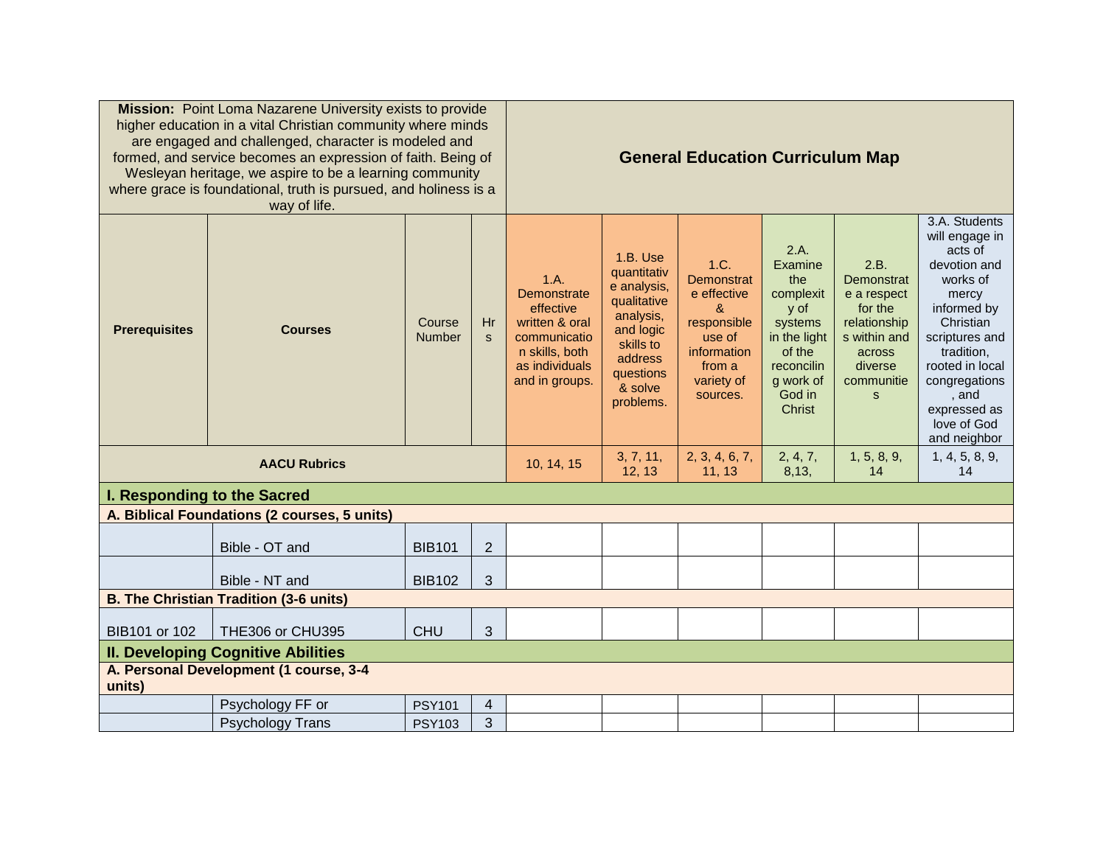| Mission: Point Loma Nazarene University exists to provide<br>higher education in a vital Christian community where minds<br>are engaged and challenged, character is modeled and<br>formed, and service becomes an expression of faith. Being of<br>Wesleyan heritage, we aspire to be a learning community<br>where grace is foundational, truth is pursued, and holiness is a<br>way of life. |                                              |                         |                    | <b>General Education Curriculum Map</b>                                                                                  |                                                                                                                                              |                                                                                                                           |                                                                                                                                        |                                                                                                                      |                                                                                                                                                                                                                                         |
|-------------------------------------------------------------------------------------------------------------------------------------------------------------------------------------------------------------------------------------------------------------------------------------------------------------------------------------------------------------------------------------------------|----------------------------------------------|-------------------------|--------------------|--------------------------------------------------------------------------------------------------------------------------|----------------------------------------------------------------------------------------------------------------------------------------------|---------------------------------------------------------------------------------------------------------------------------|----------------------------------------------------------------------------------------------------------------------------------------|----------------------------------------------------------------------------------------------------------------------|-----------------------------------------------------------------------------------------------------------------------------------------------------------------------------------------------------------------------------------------|
| <b>Prerequisites</b>                                                                                                                                                                                                                                                                                                                                                                            | <b>Courses</b>                               | Course<br><b>Number</b> | Hr<br><sub>S</sub> | 1.A.<br>Demonstrate<br>effective<br>written & oral<br>communicatio<br>n skills, both<br>as individuals<br>and in groups. | 1.B. Use<br>quantitativ<br>e analysis,<br>qualitative<br>analysis,<br>and logic<br>skills to<br>address<br>questions<br>& solve<br>problems. | 1.C.<br>Demonstrat<br>e effective<br>$\alpha$<br>responsible<br>use of<br>information<br>from a<br>variety of<br>sources. | 2.A.<br>Examine<br>the<br>complexit<br>y of<br>systems<br>in the light<br>of the<br>reconcilin<br>g work of<br>God in<br><b>Christ</b> | 2.B.<br>Demonstrat<br>e a respect<br>for the<br>relationship<br>s within and<br>across<br>diverse<br>communitie<br>S | 3.A. Students<br>will engage in<br>acts of<br>devotion and<br>works of<br>mercy<br>informed by<br>Christian<br>scriptures and<br>tradition,<br>rooted in local<br>congregations<br>, and<br>expressed as<br>love of God<br>and neighbor |
| <b>AACU Rubrics</b>                                                                                                                                                                                                                                                                                                                                                                             |                                              |                         |                    | 10, 14, 15                                                                                                               | 3, 7, 11,<br>12, 13                                                                                                                          | 2, 3, 4, 6, 7,<br>11, 13                                                                                                  | 2, 4, 7,<br>8,13,                                                                                                                      | 1, 5, 8, 9,<br>14                                                                                                    | 1, 4, 5, 8, 9,<br>14                                                                                                                                                                                                                    |
| I. Responding to the Sacred                                                                                                                                                                                                                                                                                                                                                                     |                                              |                         |                    |                                                                                                                          |                                                                                                                                              |                                                                                                                           |                                                                                                                                        |                                                                                                                      |                                                                                                                                                                                                                                         |
|                                                                                                                                                                                                                                                                                                                                                                                                 | A. Biblical Foundations (2 courses, 5 units) |                         |                    |                                                                                                                          |                                                                                                                                              |                                                                                                                           |                                                                                                                                        |                                                                                                                      |                                                                                                                                                                                                                                         |
|                                                                                                                                                                                                                                                                                                                                                                                                 | Bible - OT and                               | <b>BIB101</b>           | $\overline{2}$     |                                                                                                                          |                                                                                                                                              |                                                                                                                           |                                                                                                                                        |                                                                                                                      |                                                                                                                                                                                                                                         |
|                                                                                                                                                                                                                                                                                                                                                                                                 | Bible - NT and                               | <b>BIB102</b>           | $\mathfrak{S}$     |                                                                                                                          |                                                                                                                                              |                                                                                                                           |                                                                                                                                        |                                                                                                                      |                                                                                                                                                                                                                                         |
| <b>B. The Christian Tradition (3-6 units)</b>                                                                                                                                                                                                                                                                                                                                                   |                                              |                         |                    |                                                                                                                          |                                                                                                                                              |                                                                                                                           |                                                                                                                                        |                                                                                                                      |                                                                                                                                                                                                                                         |
| BIB101 or 102                                                                                                                                                                                                                                                                                                                                                                                   | THE306 or CHU395                             | <b>CHU</b>              | $\mathfrak{S}$     |                                                                                                                          |                                                                                                                                              |                                                                                                                           |                                                                                                                                        |                                                                                                                      |                                                                                                                                                                                                                                         |
| <b>II. Developing Cognitive Abilities</b>                                                                                                                                                                                                                                                                                                                                                       |                                              |                         |                    |                                                                                                                          |                                                                                                                                              |                                                                                                                           |                                                                                                                                        |                                                                                                                      |                                                                                                                                                                                                                                         |
| A. Personal Development (1 course, 3-4<br>units)                                                                                                                                                                                                                                                                                                                                                |                                              |                         |                    |                                                                                                                          |                                                                                                                                              |                                                                                                                           |                                                                                                                                        |                                                                                                                      |                                                                                                                                                                                                                                         |
|                                                                                                                                                                                                                                                                                                                                                                                                 | Psychology FF or                             | <b>PSY101</b>           | 4                  |                                                                                                                          |                                                                                                                                              |                                                                                                                           |                                                                                                                                        |                                                                                                                      |                                                                                                                                                                                                                                         |
|                                                                                                                                                                                                                                                                                                                                                                                                 | <b>Psychology Trans</b>                      | <b>PSY103</b>           | 3                  |                                                                                                                          |                                                                                                                                              |                                                                                                                           |                                                                                                                                        |                                                                                                                      |                                                                                                                                                                                                                                         |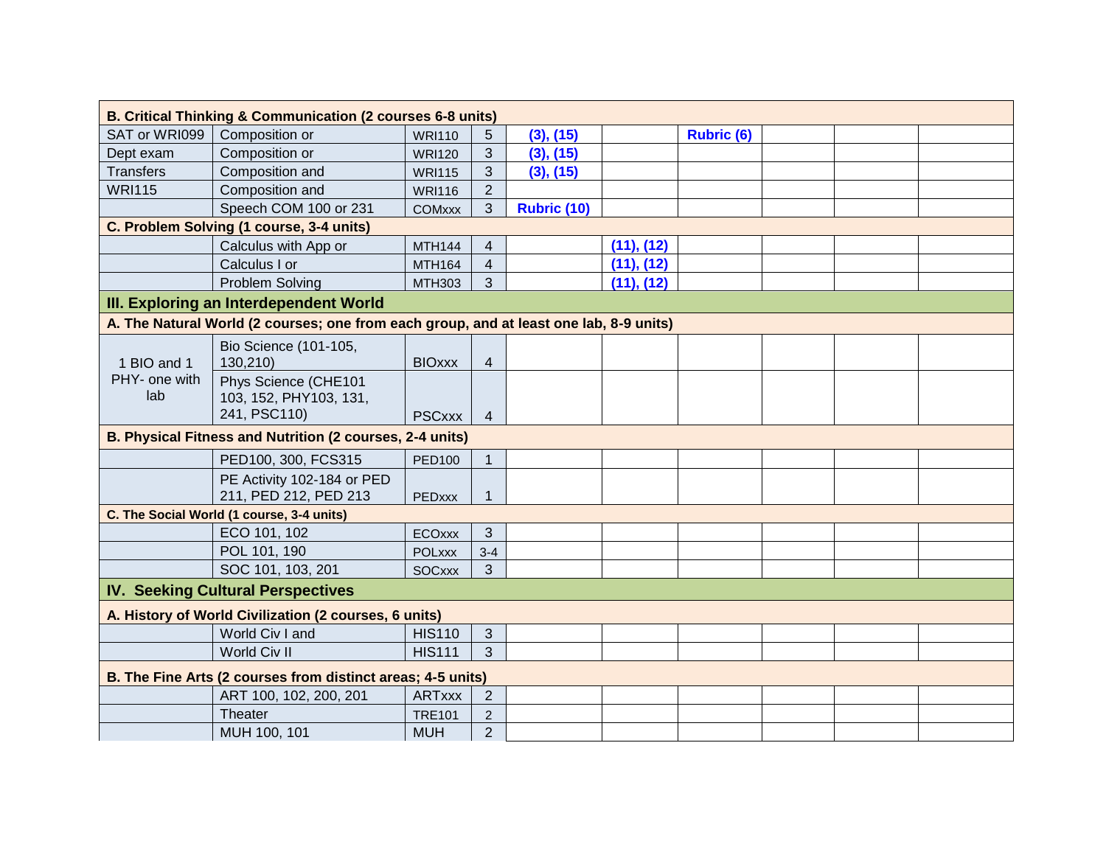| B. Critical Thinking & Communication (2 courses 6-8 units)                             |                                                                |               |                         |             |            |                   |  |  |  |
|----------------------------------------------------------------------------------------|----------------------------------------------------------------|---------------|-------------------------|-------------|------------|-------------------|--|--|--|
| SAT or WRI099                                                                          | Composition or                                                 | <b>WRI110</b> | 5                       | (3), (15)   |            | <b>Rubric (6)</b> |  |  |  |
| Dept exam                                                                              | Composition or                                                 | <b>WRI120</b> | 3                       | (3), (15)   |            |                   |  |  |  |
| <b>Transfers</b>                                                                       | Composition and                                                | <b>WRI115</b> | 3                       | (3), (15)   |            |                   |  |  |  |
| <b>WRI115</b>                                                                          | Composition and                                                | <b>WRI116</b> | $\overline{2}$          |             |            |                   |  |  |  |
|                                                                                        | Speech COM 100 or 231                                          | <b>COMxxx</b> | 3                       | Rubric (10) |            |                   |  |  |  |
|                                                                                        | C. Problem Solving (1 course, 3-4 units)                       |               |                         |             |            |                   |  |  |  |
|                                                                                        | Calculus with App or                                           | <b>MTH144</b> | 4                       |             | (11), (12) |                   |  |  |  |
|                                                                                        | Calculus I or                                                  | <b>MTH164</b> | $\overline{\mathbf{4}}$ |             | (11), (12) |                   |  |  |  |
|                                                                                        | Problem Solving                                                | <b>MTH303</b> | 3                       |             | (11), (12) |                   |  |  |  |
| III. Exploring an Interdependent World                                                 |                                                                |               |                         |             |            |                   |  |  |  |
| A. The Natural World (2 courses; one from each group, and at least one lab, 8-9 units) |                                                                |               |                         |             |            |                   |  |  |  |
| 1 BIO and 1<br>PHY- one with<br>lab                                                    | Bio Science (101-105,<br>130,210)                              | <b>BIOxxx</b> | 4                       |             |            |                   |  |  |  |
|                                                                                        | Phys Science (CHE101<br>103, 152, PHY103, 131,<br>241, PSC110) | <b>PSCxxx</b> | $\overline{4}$          |             |            |                   |  |  |  |
| B. Physical Fitness and Nutrition (2 courses, 2-4 units)                               |                                                                |               |                         |             |            |                   |  |  |  |
|                                                                                        | PED100, 300, FCS315                                            | <b>PED100</b> | $\mathbf{1}$            |             |            |                   |  |  |  |
|                                                                                        | PE Activity 102-184 or PED<br>211, PED 212, PED 213            | <b>PEDxxx</b> | 1                       |             |            |                   |  |  |  |
| C. The Social World (1 course, 3-4 units)                                              |                                                                |               |                         |             |            |                   |  |  |  |
|                                                                                        | ECO 101, 102                                                   | <b>ECOxxx</b> | 3                       |             |            |                   |  |  |  |
|                                                                                        | POL 101, 190                                                   | <b>POLXXX</b> | $3 - 4$                 |             |            |                   |  |  |  |
|                                                                                        | SOC 101, 103, 201                                              | <b>SOCXXX</b> | 3                       |             |            |                   |  |  |  |
| <b>IV. Seeking Cultural Perspectives</b>                                               |                                                                |               |                         |             |            |                   |  |  |  |
| A. History of World Civilization (2 courses, 6 units)                                  |                                                                |               |                         |             |            |                   |  |  |  |
|                                                                                        | World Civ I and                                                | <b>HIS110</b> | $\mathfrak{S}$          |             |            |                   |  |  |  |
|                                                                                        | World Civ II                                                   | <b>HIS111</b> | 3                       |             |            |                   |  |  |  |
| B. The Fine Arts (2 courses from distinct areas; 4-5 units)                            |                                                                |               |                         |             |            |                   |  |  |  |
|                                                                                        | ART 100, 102, 200, 201                                         | <b>ARTxxx</b> | $\overline{2}$          |             |            |                   |  |  |  |
|                                                                                        | Theater                                                        | <b>TRE101</b> | $\overline{2}$          |             |            |                   |  |  |  |
|                                                                                        | MUH 100, 101                                                   | <b>MUH</b>    | $\overline{2}$          |             |            |                   |  |  |  |